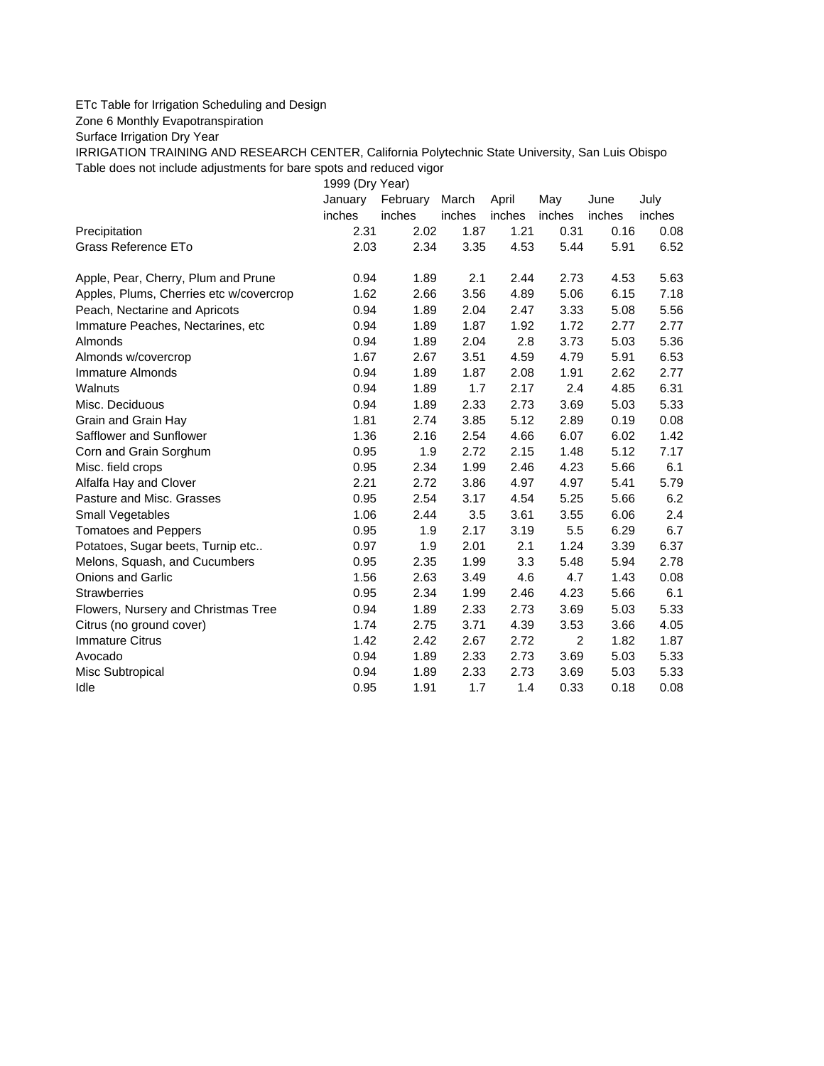## ETc Table for Irrigation Scheduling and Design

Zone 6 Monthly Evapotranspiration

Surface Irrigation Dry Year

IRRIGATION TRAINING AND RESEARCH CENTER, California Polytechnic State University, San Luis Obispo Table does not include adjustments for bare spots and reduced vigor

1999 (Dry Year)

|                                         | January | February | March  | April  | May            | June   | July   |
|-----------------------------------------|---------|----------|--------|--------|----------------|--------|--------|
|                                         | inches  | inches   | inches | inches | inches         | inches | inches |
| Precipitation                           | 2.31    | 2.02     | 1.87   | 1.21   | 0.31           | 0.16   | 0.08   |
| <b>Grass Reference ETo</b>              | 2.03    | 2.34     | 3.35   | 4.53   | 5.44           | 5.91   | 6.52   |
| Apple, Pear, Cherry, Plum and Prune     | 0.94    | 1.89     | 2.1    | 2.44   | 2.73           | 4.53   | 5.63   |
| Apples, Plums, Cherries etc w/covercrop | 1.62    | 2.66     | 3.56   | 4.89   | 5.06           | 6.15   | 7.18   |
| Peach, Nectarine and Apricots           | 0.94    | 1.89     | 2.04   | 2.47   | 3.33           | 5.08   | 5.56   |
| Immature Peaches, Nectarines, etc       | 0.94    | 1.89     | 1.87   | 1.92   | 1.72           | 2.77   | 2.77   |
| Almonds                                 | 0.94    | 1.89     | 2.04   | 2.8    | 3.73           | 5.03   | 5.36   |
| Almonds w/covercrop                     | 1.67    | 2.67     | 3.51   | 4.59   | 4.79           | 5.91   | 6.53   |
| Immature Almonds                        | 0.94    | 1.89     | 1.87   | 2.08   | 1.91           | 2.62   | 2.77   |
| Walnuts                                 | 0.94    | 1.89     | 1.7    | 2.17   | 2.4            | 4.85   | 6.31   |
| Misc. Deciduous                         | 0.94    | 1.89     | 2.33   | 2.73   | 3.69           | 5.03   | 5.33   |
| Grain and Grain Hay                     | 1.81    | 2.74     | 3.85   | 5.12   | 2.89           | 0.19   | 0.08   |
| Safflower and Sunflower                 | 1.36    | 2.16     | 2.54   | 4.66   | 6.07           | 6.02   | 1.42   |
| Corn and Grain Sorghum                  | 0.95    | 1.9      | 2.72   | 2.15   | 1.48           | 5.12   | 7.17   |
| Misc. field crops                       | 0.95    | 2.34     | 1.99   | 2.46   | 4.23           | 5.66   | 6.1    |
| Alfalfa Hay and Clover                  | 2.21    | 2.72     | 3.86   | 4.97   | 4.97           | 5.41   | 5.79   |
| Pasture and Misc. Grasses               | 0.95    | 2.54     | 3.17   | 4.54   | 5.25           | 5.66   | 6.2    |
| Small Vegetables                        | 1.06    | 2.44     | 3.5    | 3.61   | 3.55           | 6.06   | 2.4    |
| <b>Tomatoes and Peppers</b>             | 0.95    | 1.9      | 2.17   | 3.19   | 5.5            | 6.29   | 6.7    |
| Potatoes, Sugar beets, Turnip etc       | 0.97    | 1.9      | 2.01   | 2.1    | 1.24           | 3.39   | 6.37   |
| Melons, Squash, and Cucumbers           | 0.95    | 2.35     | 1.99   | 3.3    | 5.48           | 5.94   | 2.78   |
| <b>Onions and Garlic</b>                | 1.56    | 2.63     | 3.49   | 4.6    | 4.7            | 1.43   | 0.08   |
| <b>Strawberries</b>                     | 0.95    | 2.34     | 1.99   | 2.46   | 4.23           | 5.66   | 6.1    |
| Flowers, Nursery and Christmas Tree     | 0.94    | 1.89     | 2.33   | 2.73   | 3.69           | 5.03   | 5.33   |
| Citrus (no ground cover)                | 1.74    | 2.75     | 3.71   | 4.39   | 3.53           | 3.66   | 4.05   |
| <b>Immature Citrus</b>                  | 1.42    | 2.42     | 2.67   | 2.72   | $\overline{2}$ | 1.82   | 1.87   |
| Avocado                                 | 0.94    | 1.89     | 2.33   | 2.73   | 3.69           | 5.03   | 5.33   |
| Misc Subtropical                        | 0.94    | 1.89     | 2.33   | 2.73   | 3.69           | 5.03   | 5.33   |
| Idle                                    | 0.95    | 1.91     | 1.7    | 1.4    | 0.33           | 0.18   | 0.08   |